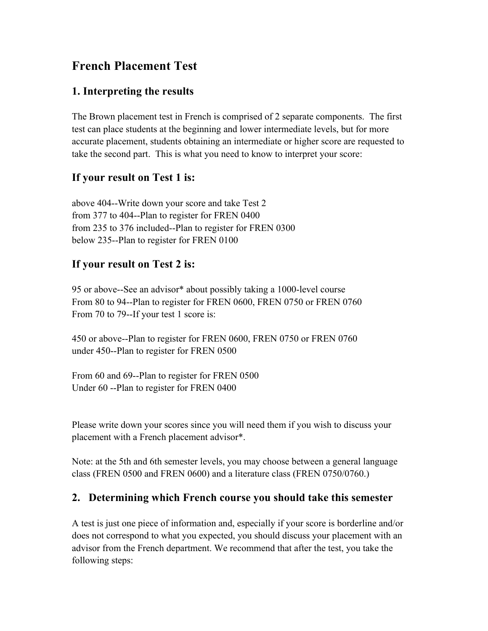# **French Placement Test**

## **1. Interpreting the results**

The Brown placement test in French is comprised of 2 separate components. The first test can place students at the beginning and lower intermediate levels, but for more accurate placement, students obtaining an intermediate or higher score are requested to take the second part. This is what you need to know to interpret your score:

### **If your result on Test 1 is:**

above 404--Write down your score and take Test 2 from 377 to 404--Plan to register for FREN 0400 from 235 to 376 included--Plan to register for FREN 0300 below 235--Plan to register for FREN 0100

### **If your result on Test 2 is:**

95 or above--See an advisor\* about possibly taking a 1000-level course From 80 to 94--Plan to register for FREN 0600, FREN 0750 or FREN 0760 From 70 to 79--If your test 1 score is:

450 or above--Plan to register for FREN 0600, FREN 0750 or FREN 0760 under 450--Plan to register for FREN 0500

From 60 and 69--Plan to register for FREN 0500 Under 60 --Plan to register for FREN 0400

Please write down your scores since you will need them if you wish to discuss your placement with a French placement advisor\*.

Note: at the 5th and 6th semester levels, you may choose between a general language class (FREN 0500 and FREN 0600) and a literature class (FREN 0750/0760.)

#### **2. Determining which French course you should take this semester**

A test is just one piece of information and, especially if your score is borderline and/or does not correspond to what you expected, you should discuss your placement with an advisor from the French department. We recommend that after the test, you take the following steps: